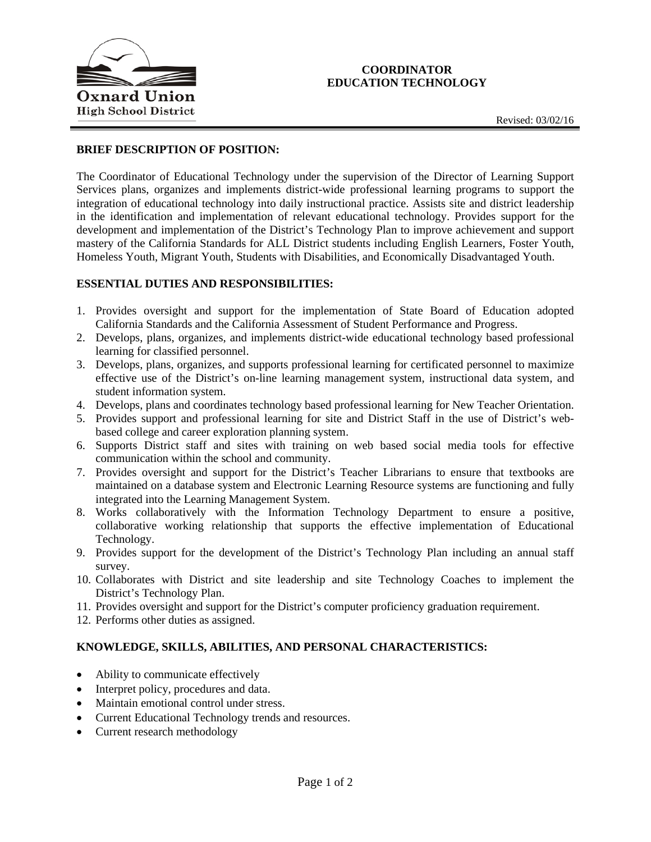



### **BRIEF DESCRIPTION OF POSITION:**

The Coordinator of Educational Technology under the supervision of the Director of Learning Support Services plans, organizes and implements district-wide professional learning programs to support the integration of educational technology into daily instructional practice. Assists site and district leadership in the identification and implementation of relevant educational technology. Provides support for the development and implementation of the District's Technology Plan to improve achievement and support mastery of the California Standards for ALL District students including English Learners, Foster Youth, Homeless Youth, Migrant Youth, Students with Disabilities, and Economically Disadvantaged Youth.

#### **ESSENTIAL DUTIES AND RESPONSIBILITIES:**

- 1. Provides oversight and support for the implementation of State Board of Education adopted California Standards and the California Assessment of Student Performance and Progress.
- 2. Develops, plans, organizes, and implements district-wide educational technology based professional learning for classified personnel.
- 3. Develops, plans, organizes, and supports professional learning for certificated personnel to maximize effective use of the District's on-line learning management system, instructional data system, and student information system.
- 4. Develops, plans and coordinates technology based professional learning for New Teacher Orientation.
- 5. Provides support and professional learning for site and District Staff in the use of District's webbased college and career exploration planning system.
- 6. Supports District staff and sites with training on web based social media tools for effective communication within the school and community.
- 7. Provides oversight and support for the District's Teacher Librarians to ensure that textbooks are maintained on a database system and Electronic Learning Resource systems are functioning and fully integrated into the Learning Management System.
- 8. Works collaboratively with the Information Technology Department to ensure a positive, collaborative working relationship that supports the effective implementation of Educational Technology.
- 9. Provides support for the development of the District's Technology Plan including an annual staff survey.
- 10. Collaborates with District and site leadership and site Technology Coaches to implement the District's Technology Plan.
- 11. Provides oversight and support for the District's computer proficiency graduation requirement.
- 12. Performs other duties as assigned.

### **KNOWLEDGE, SKILLS, ABILITIES, AND PERSONAL CHARACTERISTICS:**

- Ability to communicate effectively
- Interpret policy, procedures and data.
- Maintain emotional control under stress.
- Current Educational Technology trends and resources.
- Current research methodology